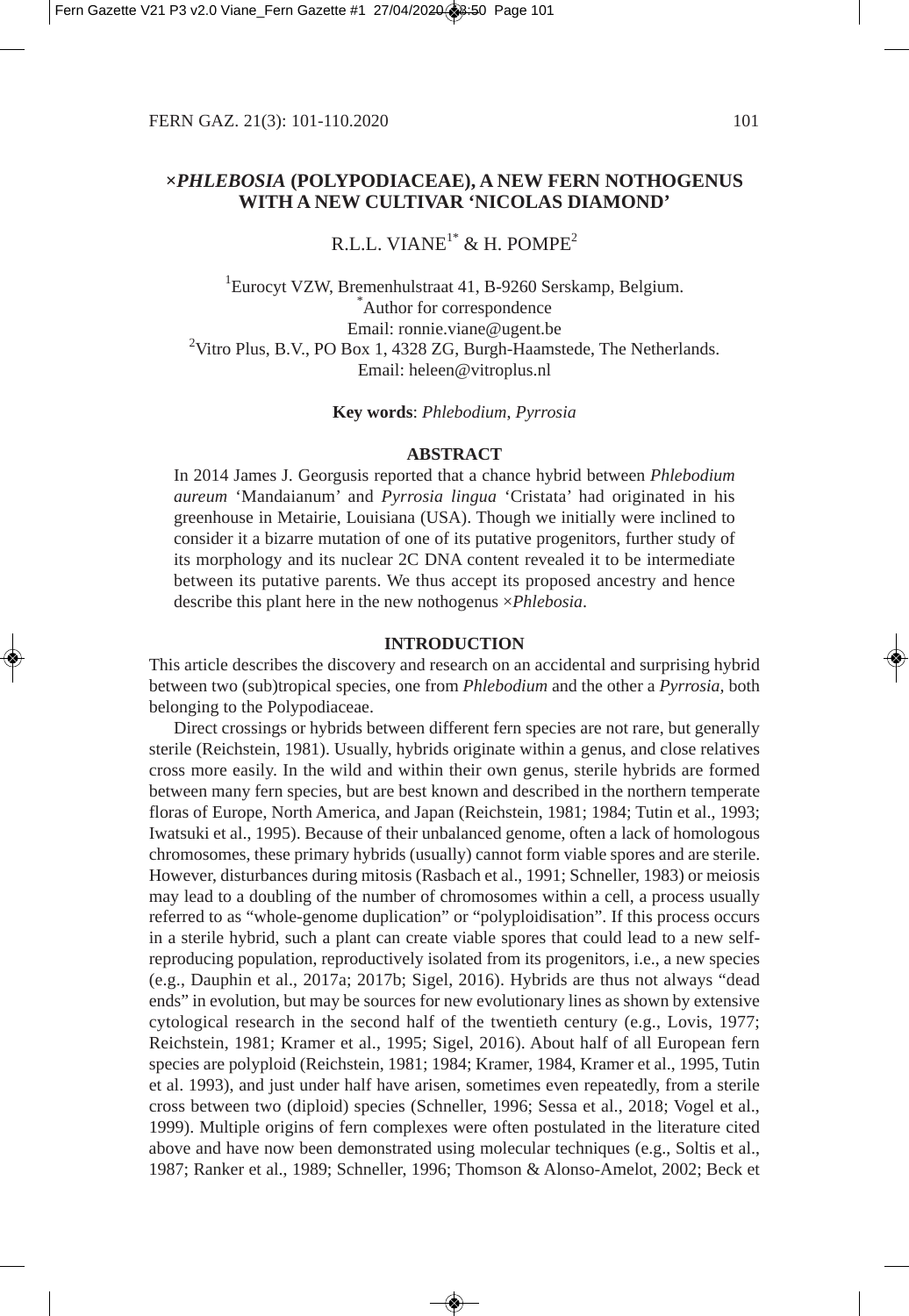# **×***PHLEBOSIA* **(POLYPODIACEAE), A NEW FERN NOTHOGENUS WITH A NEW CULTIVAR 'NICOLAS DIAMOND'**

# R.L.L. VIANE<sup>1\*</sup> & H. POMPE<sup>2</sup>

<sup>1</sup>Eurocyt VZW, Bremenhulstraat 41, B-9260 Serskamp, Belgium. Author for correspondence Email: ronnie.viane@ugent.be <sup>2</sup>Vitro Plus, B.V., PO Box 1, 4328 ZG, Burgh-Haamstede, The Netherlands. Email: heleen@vitroplus.nl

**Key words**: *Phlebodium*, *Pyrrosia*

### **ABSTRACT**

In 2014 James J. Georgusis reported that a chance hybrid between *Phlebodium aureum* 'Mandaianum' and *Pyrrosia lingua* 'Cristata' had originated in his greenhouse in Metairie, Louisiana (USA). Though we initially were inclined to consider it a bizarre mutation of one of its putative progenitors, further study of its morphology and its nuclear 2C DNA content revealed it to be intermediate between its putative parents. We thus accept its proposed ancestry and hence describe this plant here in the new nothogenus ×*Phlebosia*.

#### **INTRODUCTION**

This article describes the discovery and research on an accidental and surprising hybrid between two (sub)tropical species, one from *Phlebodium* and the other a *Pyrrosia,* both belonging to the Polypodiaceae.

Direct crossings or hybrids between different fern species are not rare, but generally sterile (Reichstein, 1981). Usually, hybrids originate within a genus, and close relatives cross more easily. In the wild and within their own genus, sterile hybrids are formed between many fern species, but are best known and described in the northern temperate floras of Europe, North America, and Japan (Reichstein, 1981; 1984; Tutin et al., 1993; Iwatsuki et al., 1995). Because of their unbalanced genome, often a lack of homologous chromosomes, these primary hybrids (usually) cannot form viable spores and are sterile. However, disturbances during mitosis (Rasbach et al., 1991; Schneller, 1983) or meiosis may lead to a doubling of the number of chromosomes within a cell, a process usually referred to as "whole-genome duplication" or "polyploidisation". If this process occurs in a sterile hybrid, such a plant can create viable spores that could lead to a new selfreproducing population, reproductively isolated from its progenitors, i.e., a new species (e.g., Dauphin et al., 2017a; 2017b; Sigel, 2016). Hybrids are thus not always "dead ends" in evolution, but may be sources for new evolutionary lines as shown by extensive cytological research in the second half of the twentieth century (e.g., Lovis, 1977; Reichstein, 1981; Kramer et al., 1995; Sigel, 2016). About half of all European fern species are polyploid (Reichstein, 1981; 1984; Kramer, 1984, Kramer et al., 1995, Tutin et al. 1993), and just under half have arisen, sometimes even repeatedly, from a sterile cross between two (diploid) species (Schneller, 1996; Sessa et al., 2018; Vogel et al., 1999). Multiple origins of fern complexes were often postulated in the literature cited above and have now been demonstrated using molecular techniques (e.g., Soltis et al., 1987; Ranker et al., 1989; Schneller, 1996; Thomson & Alonso-Amelot, 2002; Beck et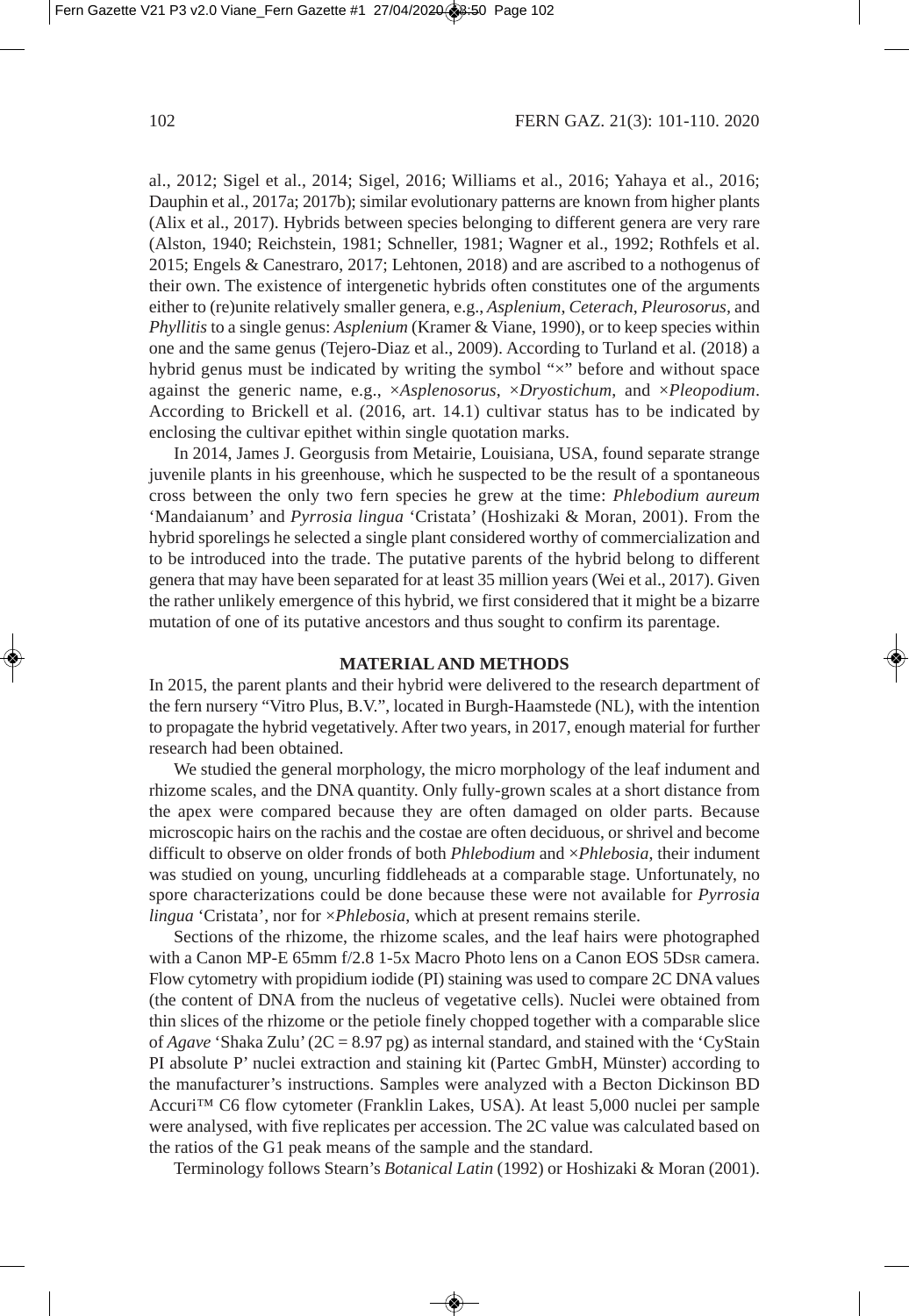al., 2012; Sigel et al., 2014; Sigel, 2016; Williams et al., 2016; Yahaya et al., 2016; Dauphin et al., 2017a; 2017b); similar evolutionary patterns are known from higher plants (Alix et al., 2017). Hybrids between species belonging to different genera are very rare (Alston, 1940; Reichstein, 1981; Schneller, 1981; Wagner et al., 1992; Rothfels et al. 2015; Engels & Canestraro, 2017; Lehtonen, 2018) and are ascribed to a nothogenus of their own. The existence of intergenetic hybrids often constitutes one of the arguments either to (re)unite relatively smaller genera, e.g., *Asplenium*, *Ceterach*, *Pleurosorus,* and *Phyllitis* to a single genus: *Asplenium* (Kramer & Viane, 1990), or to keep species within one and the same genus (Tejero-Diaz et al., 2009). According to Turland et al. (2018) a hybrid genus must be indicated by writing the symbol " $\times$ " before and without space against the generic name, e.g., ×*Asplenosorus*, ×*Dryostichum*, and ×*Pleopodium*. According to Brickell et al. (2016, art. 14.1) cultivar status has to be indicated by enclosing the cultivar epithet within single quotation marks.

In 2014, James J. Georgusis from Metairie, Louisiana, USA, found separate strange juvenile plants in his greenhouse, which he suspected to be the result of a spontaneous cross between the only two fern species he grew at the time: *Phlebodium aureum* 'Mandaianum' and *Pyrrosia lingua* 'Cristata' (Hoshizaki & Moran, 2001). From the hybrid sporelings he selected a single plant considered worthy of commercialization and to be introduced into the trade. The putative parents of the hybrid belong to different genera that may have been separated for at least 35 million years (Wei et al., 2017). Given the rather unlikely emergence of this hybrid, we first considered that it might be a bizarre mutation of one of its putative ancestors and thus sought to confirm its parentage.

### **MATERIAL AND METHODS**

In 2015, the parent plants and their hybrid were delivered to the research department of the fern nursery "Vitro Plus, B.V.", located in Burgh-Haamstede (NL), with the intention to propagate the hybrid vegetatively. After two years, in 2017, enough material for further research had been obtained.

We studied the general morphology, the micro morphology of the leaf indument and rhizome scales, and the DNA quantity. Only fully-grown scales at a short distance from the apex were compared because they are often damaged on older parts. Because microscopic hairs on the rachis and the costae are often deciduous, or shrivel and become difficult to observe on older fronds of both *Phlebodium* and ×*Phlebosia*, their indument was studied on young, uncurling fiddleheads at a comparable stage. Unfortunately, no spore characterizations could be done because these were not available for *Pyrrosia lingua* 'Cristata', nor for ×*Phlebosia*, which at present remains sterile.

Sections of the rhizome, the rhizome scales, and the leaf hairs were photographed with a Canon MP-E 65mm f/2.8 1-5x Macro Photo lens on a Canon EOS 5DSR camera. Flow cytometry with propidium iodide (PI) staining was used to compare 2C DNA values (the content of DNA from the nucleus of vegetative cells). Nuclei were obtained from thin slices of the rhizome or the petiole finely chopped together with a comparable slice of *Agave* 'Shaka Zulu' (2C = 8.97 pg) as internal standard, and stained with the 'CyStain PI absolute P' nuclei extraction and staining kit (Partec GmbH, Münster) according to the manufacturer's instructions. Samples were analyzed with a Becton Dickinson BD Accuri™ C6 flow cytometer (Franklin Lakes, USA). At least 5,000 nuclei per sample were analysed, with five replicates per accession. The 2C value was calculated based on the ratios of the G1 peak means of the sample and the standard.

Terminology follows Stearn's *Botanical Latin* (1992) or Hoshizaki & Moran (2001).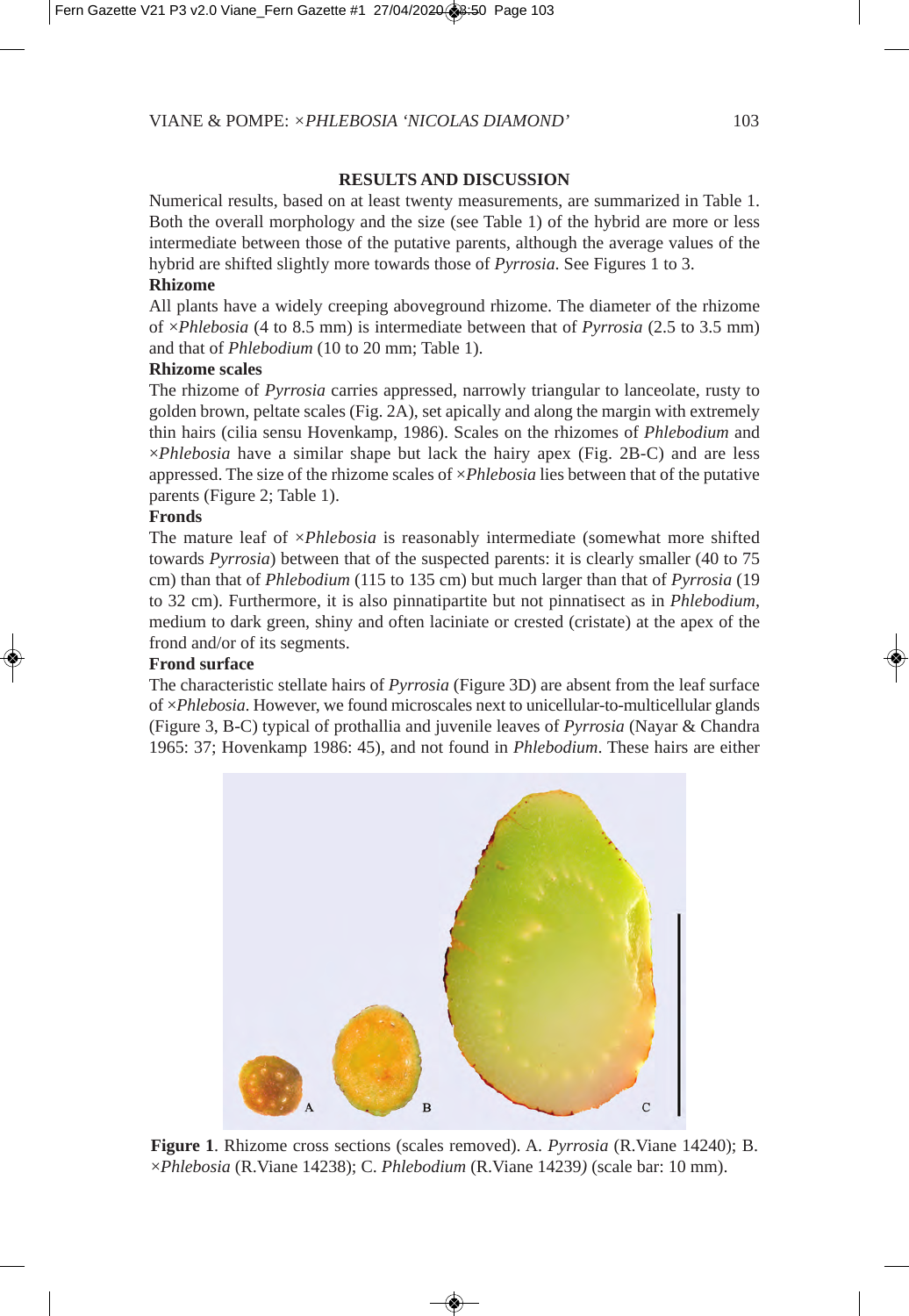### **RESULTS AND DISCUSSION**

Numerical results, based on at least twenty measurements, are summarized in Table 1. Both the overall morphology and the size (see Table 1) of the hybrid are more or less intermediate between those of the putative parents, although the average values of the hybrid are shifted slightly more towards those of *Pyrrosia*. See Figures 1 to 3.

# **Rhizome**

All plants have a widely creeping aboveground rhizome. The diameter of the rhizome of ×*Phlebosia* (4 to 8.5 mm) is intermediate between that of *Pyrrosia* (2.5 to 3.5 mm) and that of *Phlebodium* (10 to 20 mm; Table 1).

### **Rhizome scales**

The rhizome of *Pyrrosia* carries appressed, narrowly triangular to lanceolate, rusty to golden brown, peltate scales (Fig. 2A), set apically and along the margin with extremely thin hairs (cilia sensu Hovenkamp, 1986). Scales on the rhizomes of *Phlebodium* and ×*Phlebosia* have a similar shape but lack the hairy apex (Fig. 2B-C) and are less appressed. The size of the rhizome scales of ×*Phlebosia* lies between that of the putative parents (Figure 2; Table 1).

### **Fronds**

The mature leaf of ×*Phlebosia* is reasonably intermediate (somewhat more shifted towards *Pyrrosia*) between that of the suspected parents: it is clearly smaller (40 to 75 cm) than that of *Phlebodium* (115 to 135 cm) but much larger than that of *Pyrrosia* (19 to 32 cm). Furthermore, it is also pinnatipartite but not pinnatisect as in *Phlebodium*, medium to dark green, shiny and often laciniate or crested (cristate) at the apex of the frond and/or of its segments.

### **Frond surface**

The characteristic stellate hairs of *Pyrrosia* (Figure 3D) are absent from the leaf surface of ×*Phlebosia*. However, we found microscales next to unicellular-to-multicellular glands (Figure 3, B-C) typical of prothallia and juvenile leaves of *Pyrrosia* (Nayar & Chandra 1965: 37; Hovenkamp 1986: 45), and not found in *Phlebodium*. These hairs are either



**Figure 1**. Rhizome cross sections (scales removed). A. *Pyrrosia* (R.Viane 14240); B. ×*Phlebosia* (R.Viane 14238); C. *Phlebodium* (R.Viane 14239*)* (scale bar: 10 mm).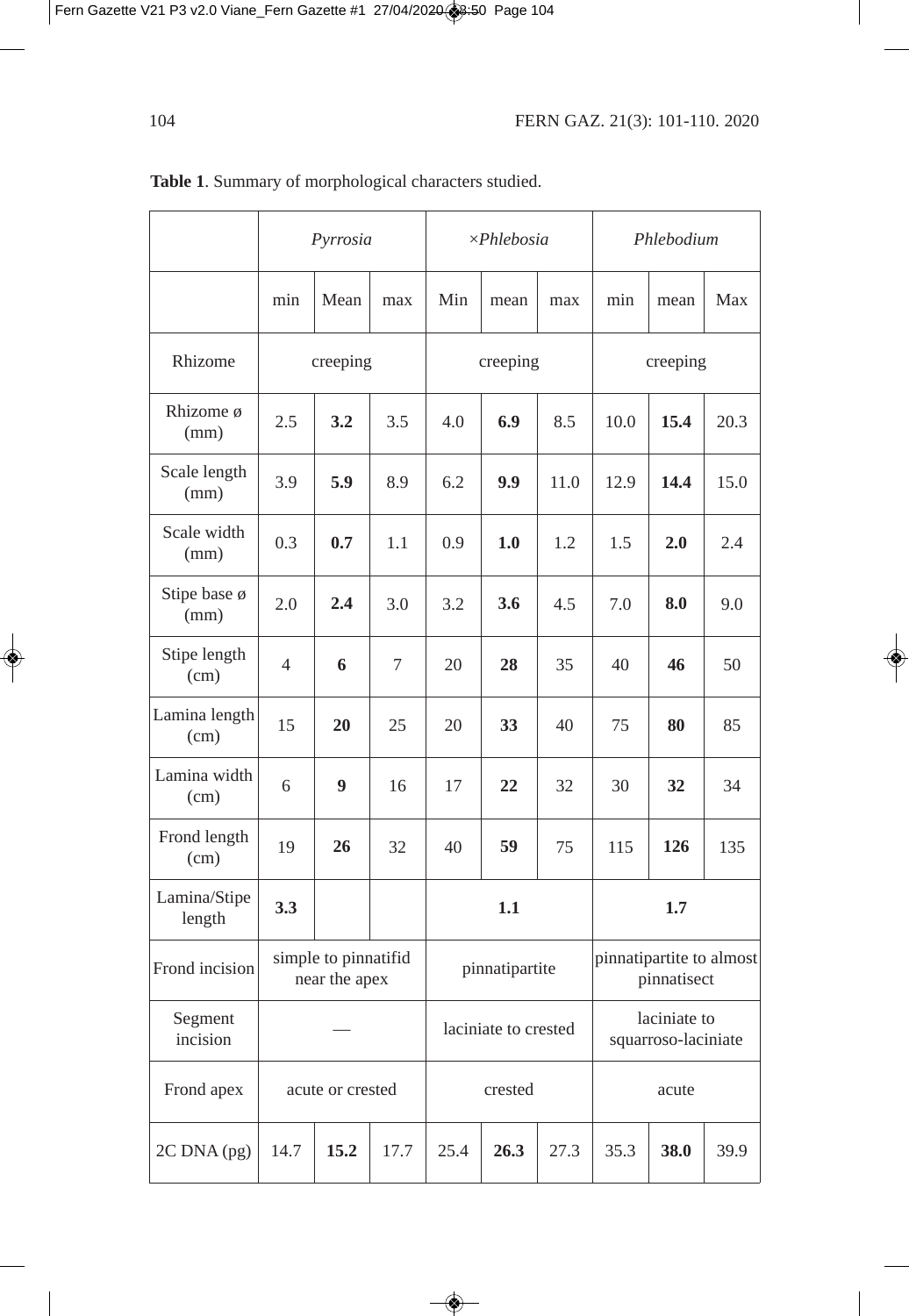|                        | Pyrrosia                              |      |      | $\times$ Phlebosia   |      |      | Phlebodium                              |      |      |
|------------------------|---------------------------------------|------|------|----------------------|------|------|-----------------------------------------|------|------|
|                        | min                                   | Mean | max  | Min                  | mean | max  | min                                     | mean | Max  |
| Rhizome                | creeping                              |      |      | creeping             |      |      | creeping                                |      |      |
| Rhizome ø<br>(mm)      | 2.5                                   | 3.2  | 3.5  | 4.0                  | 6.9  | 8.5  | 10.0                                    | 15.4 | 20.3 |
| Scale length<br>(mm)   | 3.9                                   | 5.9  | 8.9  | 6.2                  | 9.9  | 11.0 | 12.9                                    | 14.4 | 15.0 |
| Scale width<br>(mm)    | 0.3                                   | 0.7  | 1.1  | 0.9                  | 1.0  | 1.2  | 1.5                                     | 2.0  | 2.4  |
| Stipe base ø<br>(mm)   | 2.0                                   | 2.4  | 3.0  | 3.2                  | 3.6  | 4.5  | 7.0                                     | 8.0  | 9.0  |
| Stipe length<br>(cm)   | $\overline{4}$                        | 6    | 7    | 20                   | 28   | 35   | 40                                      | 46   | 50   |
| Lamina length<br>(cm)  | 15                                    | 20   | 25   | 20                   | 33   | 40   | 75                                      | 80   | 85   |
| Lamina width<br>(cm)   | 6                                     | 9    | 16   | 17                   | 22   | 32   | 30                                      | 32   | 34   |
| Frond length<br>(cm)   | 19                                    | 26   | 32   | 40                   | 59   | 75   | 115                                     | 126  | 135  |
| Lamina/Stipe<br>length | 3.3                                   |      |      | 1.1                  |      |      | 1.7                                     |      |      |
| Frond incision         | simple to pinnatifid<br>near the apex |      |      | pinnatipartite       |      |      | pinnatipartite to almost<br>pinnatisect |      |      |
| Segment<br>incision    |                                       |      |      | laciniate to crested |      |      | laciniate to<br>squarroso-laciniate     |      |      |
| Frond apex             | acute or crested                      |      |      | crested              |      |      | acute                                   |      |      |
| 2C DNA (pg)            | 14.7                                  | 15.2 | 17.7 | 25.4                 | 26.3 | 27.3 | 35.3                                    | 38.0 | 39.9 |

**Table 1**. Summary of morphological characters studied.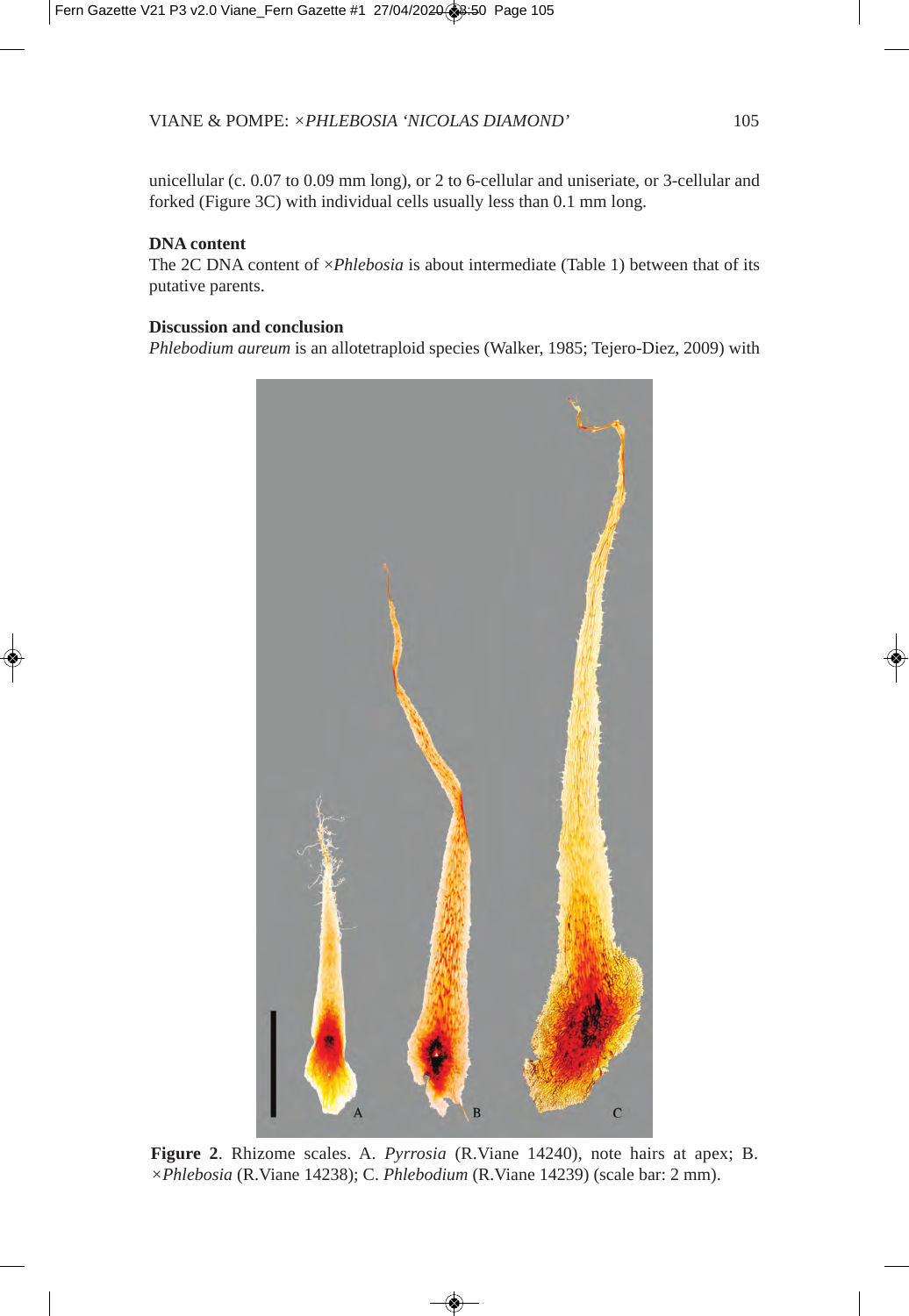unicellular (c. 0.07 to 0.09 mm long), or 2 to 6-cellular and uniseriate, or 3-cellular and forked (Figure 3C) with individual cells usually less than 0.1 mm long.

### **DNA content**

The 2C DNA content of ×*Phlebosia* is about intermediate (Table 1) between that of its putative parents.

### **Discussion and conclusion**

*Phlebodium aureum* is an allotetraploid species (Walker, 1985; Tejero-Diez, 2009) with



**Figure 2**. Rhizome scales. A. *Pyrrosia* (R.Viane 14240), note hairs at apex; B. *×Phlebosia* (R.Viane 14238); C. *Phlebodium* (R.Viane 14239) (scale bar: 2 mm).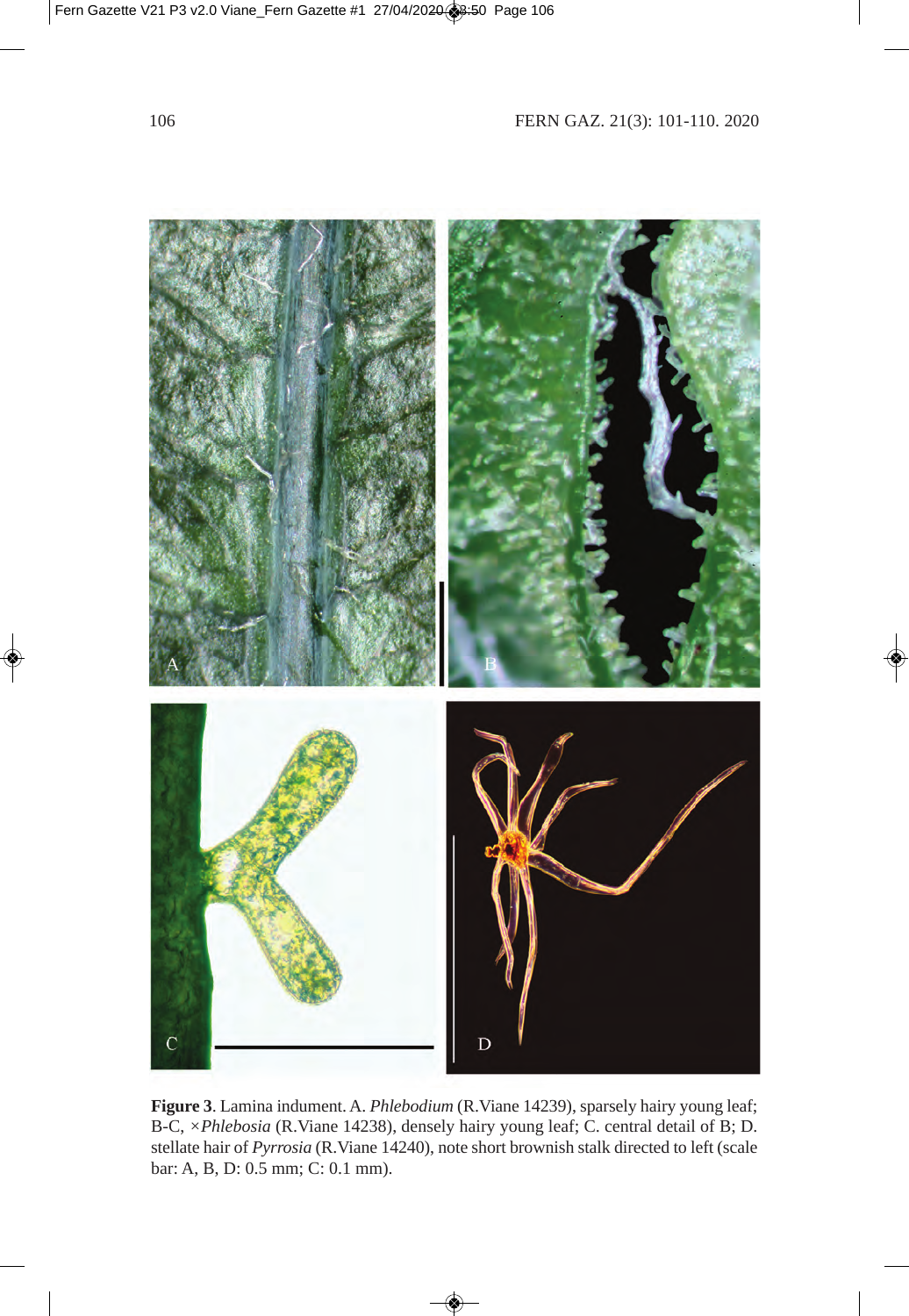

**Figure 3**. Lamina indument. A. *Phlebodium* (R.Viane 14239), sparsely hairy young leaf; B-C, *×Phlebosia* (R.Viane 14238), densely hairy young leaf; C. central detail of B; D. stellate hair of *Pyrrosia* (R.Viane 14240), note short brownish stalk directed to left (scale bar: A, B, D: 0.5 mm; C: 0.1 mm).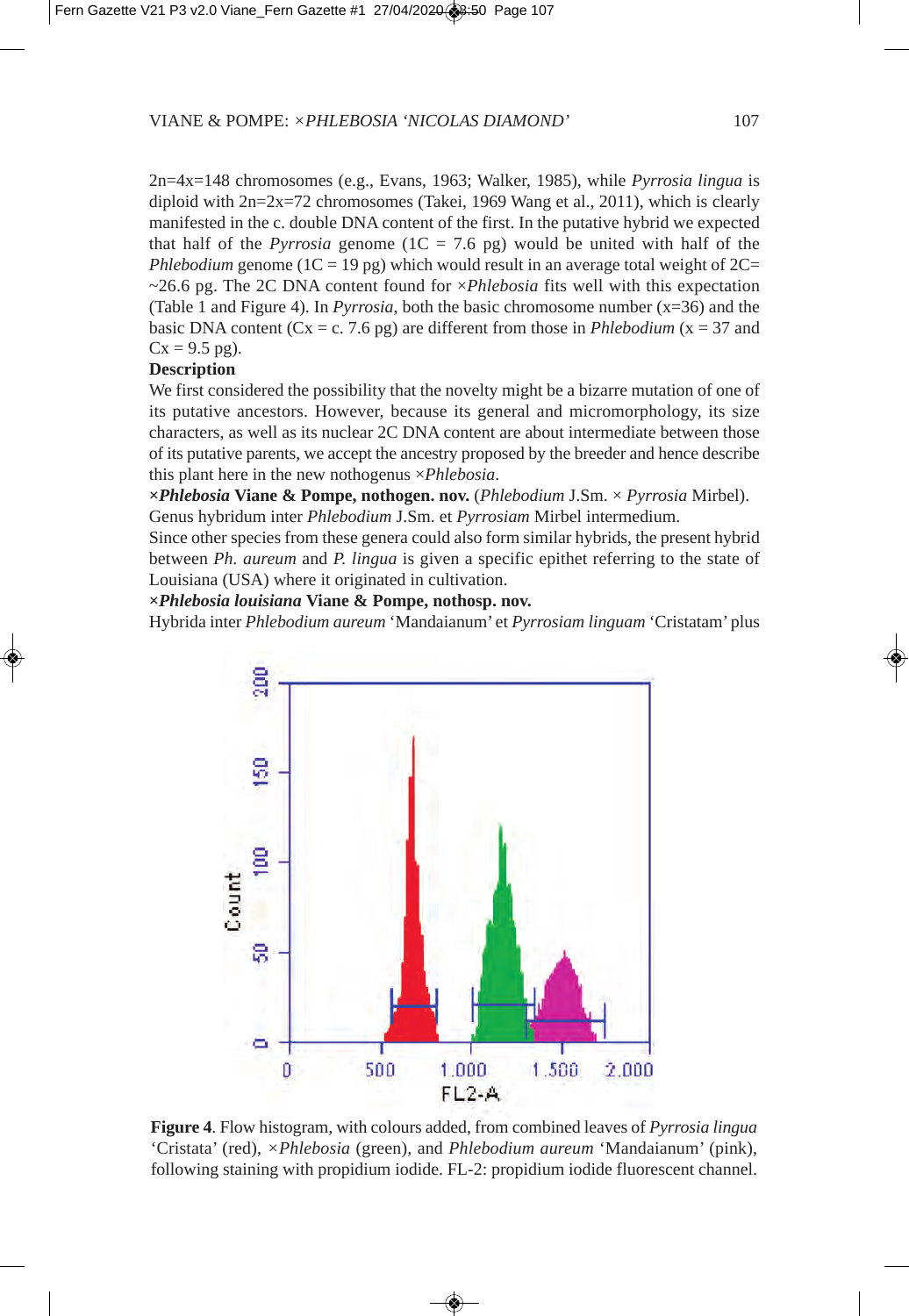2n=4x=148 chromosomes (e.g., Evans, 1963; Walker, 1985), while *Pyrrosia lingua* is diploid with  $2n=2x=72$  chromosomes (Takei, 1969 Wang et al., 2011), which is clearly manifested in the c. double DNA content of the first. In the putative hybrid we expected that half of the *Pyrrosia* genome  $(1C = 7.6$  pg) would be united with half of the *Phlebodium* genome ( $1C = 19$  pg) which would result in an average total weight of  $2C=$ ~26.6 pg. The 2C DNA content found for ×*Phlebosia* fits well with this expectation (Table 1 and Figure 4). In *Pyrrosia*, both the basic chromosome number (x=36) and the basic DNA content ( $Cx = c$ . 7.6 pg) are different from those in *Phlebodium* ( $x = 37$  and  $Cx = 9.5$  pg).

# **Description**

We first considered the possibility that the novelty might be a bizarre mutation of one of its putative ancestors. However, because its general and micromorphology, its size characters, as well as its nuclear 2C DNA content are about intermediate between those of its putative parents, we accept the ancestry proposed by the breeder and hence describe this plant here in the new nothogenus ×*Phlebosia*.

**×***Phlebosia* **Viane & Pompe, nothogen. nov.** (*Phlebodium* J.Sm. × *Pyrrosia* Mirbel). Genus hybridum inter *Phlebodium* J.Sm. et *Pyrrosiam* Mirbel intermedium.

Since other species from these genera could also form similar hybrids, the present hybrid between *Ph. aureum* and *P. lingua* is given a specific epithet referring to the state of Louisiana (USA) where it originated in cultivation.

**×***Phlebosia louisiana* **Viane & Pompe, nothosp. nov.**

Hybrida inter *Phlebodium aureum* 'Mandaianum' et *Pyrrosiam linguam* 'Cristatam' plus



**Figure 4**. Flow histogram, with colours added, from combined leaves of *Pyrrosia lingua* 'Cristata' (red), *×Phlebosia* (green), and *Phlebodium aureum* 'Mandaianum' (pink), following staining with propidium iodide. FL-2: propidium iodide fluorescent channel.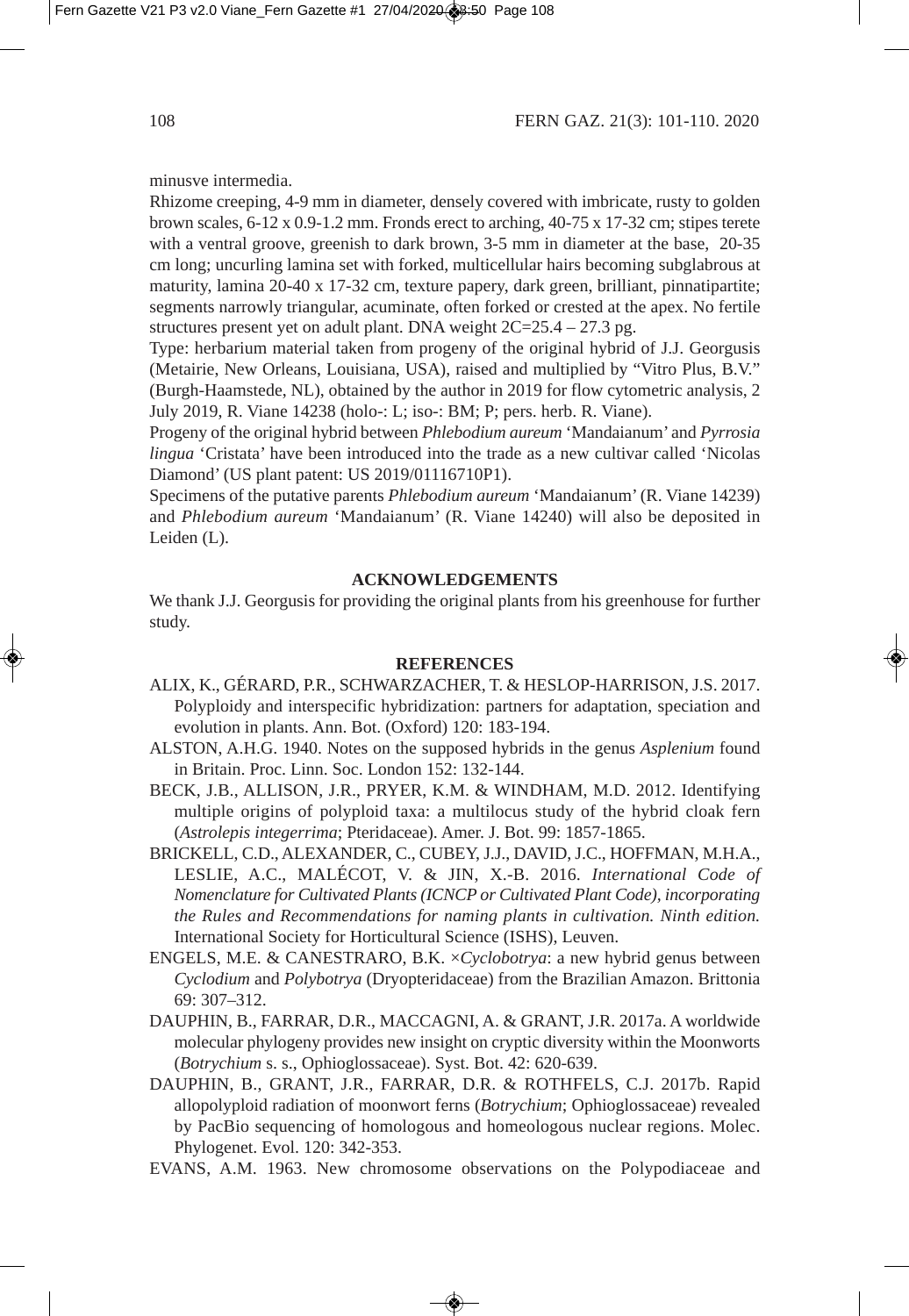minusve intermedia.

Rhizome creeping, 4-9 mm in diameter, densely covered with imbricate, rusty to golden brown scales, 6-12 x 0.9-1.2 mm. Fronds erect to arching, 40-75 x 17-32 cm; stipes terete with a ventral groove, greenish to dark brown, 3-5 mm in diameter at the base, 20-35 cm long; uncurling lamina set with forked, multicellular hairs becoming subglabrous at maturity, lamina 20-40 x 17-32 cm, texture papery, dark green, brilliant, pinnatipartite; segments narrowly triangular, acuminate, often forked or crested at the apex. No fertile structures present yet on adult plant. DNA weight 2C=25.4 – 27.3 pg.

Type: herbarium material taken from progeny of the original hybrid of J.J. Georgusis (Metairie, New Orleans, Louisiana, USA), raised and multiplied by "Vitro Plus, B.V." (Burgh-Haamstede, NL), obtained by the author in 2019 for flow cytometric analysis, 2 July 2019, R. Viane 14238 (holo-: L; iso-: BM; P; pers. herb. R. Viane).

Progeny of the original hybrid between *Phlebodium aureum* 'Mandaianum' and *Pyrrosia lingua* 'Cristata' have been introduced into the trade as a new cultivar called 'Nicolas Diamond' (US plant patent: US 2019/01116710P1).

Specimens of the putative parents *Phlebodium aureum* 'Mandaianum' (R. Viane 14239) and *Phlebodium aureum* 'Mandaianum' (R. Viane 14240) will also be deposited in Leiden (L).

#### **ACKNOWLEDGEMENTS**

We thank J.J. Georgusis for providing the original plants from his greenhouse for further study.

# **REFERENCES**

- ALIX, K., GÉRARD, P.R., SCHWARZACHER, T. & HESLOP-HARRISON, J.S. 2017. Polyploidy and interspecific hybridization: partners for adaptation, speciation and evolution in plants. Ann. Bot. (Oxford) 120: 183-194.
- ALSTON, A.H.G. 1940. Notes on the supposed hybrids in the genus *Asplenium* found in Britain. Proc. Linn. Soc. London 152: 132-144.
- BECK, J.B., ALLISON, J.R., PRYER, K.M. & WINDHAM, M.D. 2012. Identifying multiple origins of polyploid taxa: a multilocus study of the hybrid cloak fern (*Astrolepis integerrima*; Pteridaceae). Amer. J. Bot. 99: 1857-1865.
- BRICKELL, C.D., ALEXANDER, C., CUBEY, J.J., DAVID, J.C., HOFFMAN, M.H.A., LESLIE, A.C., MALÉCOT, V. & JIN, X.-B. 2016. *International Code of Nomenclature for Cultivated Plants (ICNCP or Cultivated Plant Code), incorporating the Rules and Recommendations for naming plants in cultivation. Ninth edition.* International Society for Horticultural Science (ISHS), Leuven.
- ENGELS, M.E. & CANESTRARO, B.K. ×*Cyclobotrya*: a new hybrid genus between *Cyclodium* and *Polybotrya* (Dryopteridaceae) from the Brazilian Amazon. Brittonia 69: 307–312.
- DAUPHIN, B., FARRAR, D.R., MACCAGNI, A. & GRANT, J.R. 2017a. A worldwide molecular phylogeny provides new insight on cryptic diversity within the Moonworts (*Botrychium* s. s., Ophioglossaceae). Syst. Bot. 42: 620-639.
- DAUPHIN, B., GRANT, J.R., FARRAR, D.R. & ROTHFELS, C.J. 2017b. Rapid allopolyploid radiation of moonwort ferns (*Botrychium*; Ophioglossaceae) revealed by PacBio sequencing of homologous and homeologous nuclear regions. Molec. Phylogenet. Evol. 120: 342-353.
- EVANS, A.M. 1963. New chromosome observations on the Polypodiaceae and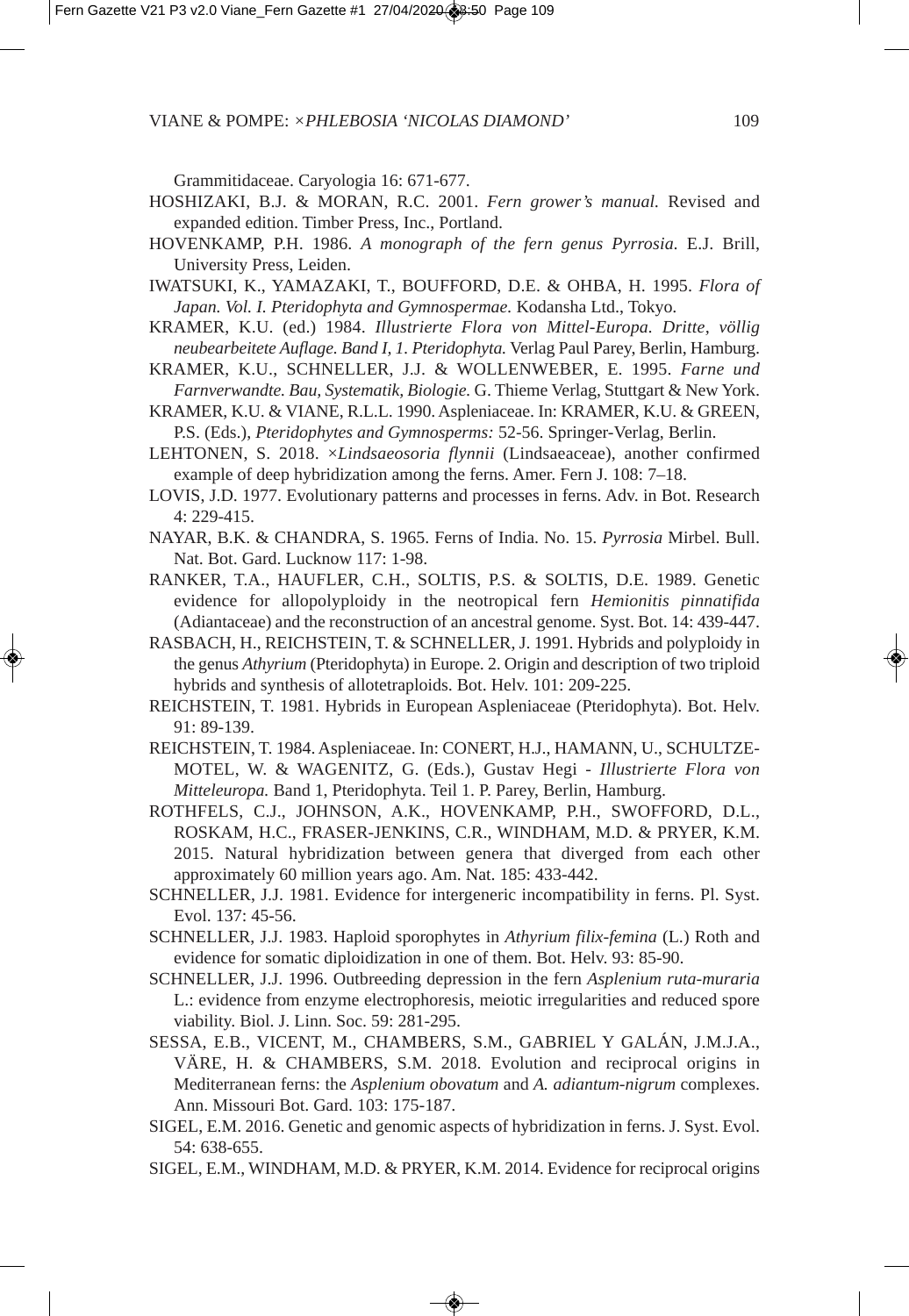Grammitidaceae. Caryologia 16: 671-677.

- HOSHIZAKI, B.J. & MORAN, R.C. 2001. *Fern grower's manual.* Revised and expanded edition. Timber Press, Inc., Portland.
- HOVENKAMP, P.H. 1986. *A monograph of the fern genus Pyrrosia.* E.J. Brill, University Press, Leiden.
- IWATSUKI, K., YAMAZAKI, T., BOUFFORD, D.E. & OHBA, H. 1995. *Flora of Japan. Vol. I. Pteridophyta and Gymnospermae.* Kodansha Ltd., Tokyo.
- KRAMER, K.U. (ed.) 1984. *Illustrierte Flora von Mittel-Europa. Dritte, völlig neubearbeitete Auflage. Band I, 1. Pteridophyta.* Verlag Paul Parey, Berlin, Hamburg.
- KRAMER, K.U., SCHNELLER, J.J. & WOLLENWEBER, E. 1995. *Farne und Farnverwandte. Bau, Systematik, Biologie.* G. Thieme Verlag, Stuttgart & New York.
- KRAMER, K.U. & VIANE, R.L.L. 1990. Aspleniaceae. In: KRAMER, K.U. & GREEN, P.S. (Eds.), *Pteridophytes and Gymnosperms:* 52-56. Springer-Verlag, Berlin.
- LEHTONEN, S. 2018. ×*Lindsaeosoria flynnii* (Lindsaeaceae), another confirmed example of deep hybridization among the ferns. Amer. Fern J. 108: 7–18.
- LOVIS, J.D. 1977. Evolutionary patterns and processes in ferns. Adv. in Bot. Research 4: 229-415.
- NAYAR, B.K. & CHANDRA, S. 1965. Ferns of India. No. 15. *Pyrrosia* Mirbel. Bull. Nat. Bot. Gard. Lucknow 117: 1-98.
- RANKER, T.A., HAUFLER, C.H., SOLTIS, P.S. & SOLTIS, D.E. 1989. Genetic evidence for allopolyploidy in the neotropical fern *Hemionitis pinnatifida* (Adiantaceae) and the reconstruction of an ancestral genome. Syst. Bot. 14: 439-447.
- RASBACH, H., REICHSTEIN, T. & SCHNELLER, J. 1991. Hybrids and polyploidy in the genus *Athyrium* (Pteridophyta) in Europe. 2. Origin and description of two triploid hybrids and synthesis of allotetraploids. Bot. Helv. 101: 209-225.
- REICHSTEIN, T. 1981. Hybrids in European Aspleniaceae (Pteridophyta). Bot. Helv. 91: 89-139.
- REICHSTEIN, T. 1984. Aspleniaceae. In: CONERT, H.J., HAMANN, U., SCHULTZE-MOTEL, W. & WAGENITZ, G. (Eds.), Gustav Hegi - *Illustrierte Flora von Mitteleuropa.* Band 1, Pteridophyta. Teil 1. P. Parey, Berlin, Hamburg.
- ROTHFELS, C.J., JOHNSON, A.K., HOVENKAMP, P.H., SWOFFORD, D.L., ROSKAM, H.C., FRASER-JENKINS, C.R., WINDHAM, M.D. & PRYER, K.M. 2015. Natural hybridization between genera that diverged from each other approximately 60 million years ago. Am. Nat. 185: 433-442.
- SCHNELLER, J.J. 1981. Evidence for intergeneric incompatibility in ferns. Pl. Syst. Evol. 137: 45-56.
- SCHNELLER, J.J. 1983. Haploid sporophytes in *Athyrium filix*-*femina* (L.) Roth and evidence for somatic diploidization in one of them. Bot. Helv. 93: 85-90.
- SCHNELLER, J.J. 1996. Outbreeding depression in the fern *Asplenium ruta-muraria* L.: evidence from enzyme electrophoresis, meiotic irregularities and reduced spore viability. Biol. J. Linn. Soc. 59: 281-295.
- SESSA, E.B., VICENT, M., CHAMBERS, S.M., GABRIEL Y GALÁN, J.M.J.A., VÄRE, H. & CHAMBERS, S.M. 2018. Evolution and reciprocal origins in Mediterranean ferns: the *Asplenium obovatum* and *A. adiantum-nigrum* complexes. Ann. Missouri Bot. Gard. 103: 175-187.
- SIGEL, E.M. 2016. Genetic and genomic aspects of hybridization in ferns. J. Syst. Evol. 54: 638-655.
- SIGEL, E.M., WINDHAM, M.D. & PRYER, K.M. 2014. Evidence for reciprocal origins